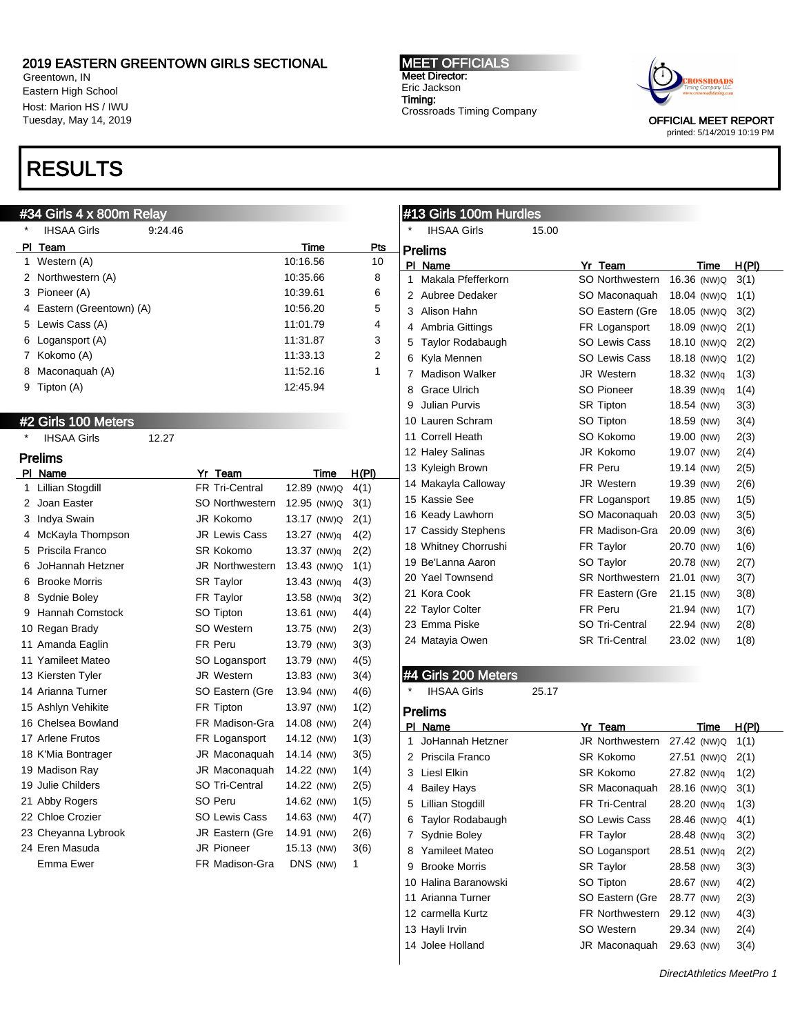Greentown, IN Eastern High School Host: Marion HS / IWU Tuesday, May 14, 2019

## RESULTS

## #34 Girls 4 x 800m Relay

\* IHSAA Girls 9:24.46

|   | P <u>I Team</u>             |                        | Time          | Pts          |
|---|-----------------------------|------------------------|---------------|--------------|
| 1 | Western (A)                 |                        | 10:16.56      | 10           |
| 2 | Northwestern (A)            |                        | 10:35.66      | 8            |
|   | 3 Pioneer (A)               |                        | 10:39.61      | 6            |
|   | 4 Eastern (Greentown) (A)   |                        | 10:56.20      | 5            |
|   | 5 Lewis Cass (A)            |                        | 11:01.79      | 4            |
|   | 6 Logansport (A)            |                        | 11:31.87      | 3            |
|   | 7 Kokomo (A)                |                        | 11:33.13      | 2            |
| 8 | Maconaquah (A)              |                        | 11:52.16      | 1            |
| 9 | Tipton (A)                  |                        | 12:45.94      |              |
|   |                             |                        |               |              |
|   | #2 Girls 100 Meters         |                        |               |              |
|   | <b>IHSAA Girls</b><br>12.27 |                        |               |              |
|   | <b>Prelims</b>              |                        |               |              |
|   | PI Name                     | Yr Team                | Time          | <u>H(PI)</u> |
| 1 | <b>Lillian Stogdill</b>     | <b>FR Tri-Central</b>  | 12.89 (NW)Q   | 4(1)         |
|   | 2 Joan Easter               | SO Northwestern        | 12.95 (NW)Q   | 3(1)         |
|   | 3 Indya Swain               | JR Kokomo              | 13.17 (NW)Q   | 2(1)         |
|   | 4 McKayla Thompson          | <b>JR Lewis Cass</b>   | 13.27 (NW)q   | 4(2)         |
|   | 5 Priscila Franco           | <b>SR Kokomo</b>       | 13.37 (NW)q   | 2(2)         |
| 6 | JoHannah Hetzner            | <b>JR Northwestern</b> | 13.43 (NW)Q   | 1(1)         |
|   | 6 Brooke Morris             | <b>SR Taylor</b>       | $13.43$ (NW)q | 4(3)         |
|   | 8 Sydnie Boley              | FR Taylor              | 13.58 (NW)q   | 3(2)         |
|   | 9 Hannah Comstock           | SO Tipton              | 13.61 (NW)    | 4(4)         |
|   | 10 Regan Brady              | SO Western             | 13.75 (NW)    | 2(3)         |
|   | 11 Amanda Eaglin            | FR Peru                | 13.79 (NW)    | 3(3)         |
|   | 11 Yamileet Mateo           | SO Logansport          | 13.79 (NW)    | 4(5)         |
|   | 13 Kiersten Tyler           | JR Western             | 13.83 (NW)    | 3(4)         |
|   | 14 Arianna Turner           | SO Eastern (Gre        | 13.94 (NW)    | 4(6)         |
|   | 15 Ashlyn Vehikite          | FR Tipton              | 13.97 (NW)    | 1(2)         |
|   | 16 Chelsea Bowland          | FR Madison-Gra         | 14.08 (NW)    | 2(4)         |
|   | 17 Arlene Frutos            | FR Logansport          | 14.12 (NW)    | 1(3)         |
|   | 18 K'Mia Bontrager          | JR Maconaquah          | 14.14 (NW)    | 3(5)         |
|   | 19 Madison Ray              | JR Maconaquah          | 14.22 (NW)    | 1(4)         |
|   | 19 Julie Childers           | SO Tri-Central         | 14.22 (NW)    | 2(5)         |
|   | 21 Abby Rogers              | SO Peru                | 14.62 (NW)    | 1(5)         |
|   | 22 Chloe Crozier            | <b>SO Lewis Cass</b>   | 14.63 (NW)    | 4(7)         |
|   | 23 Cheyanna Lybrook         | JR Eastern (Gre        | 14.91 (NW)    | 2(6)         |
|   | 24 Eren Masuda              | JR Pioneer             | 15.13 (NW)    | 3(6)         |
|   | Emma Ewer                   | FR Madison-Gra         | DNS (NW)      | 1            |

#### MEET OFFICIALS Meet Director: Eric Jackson Timing: Crossroads Timing Company



printed: 5/14/2019 10:19 PM

## #13 Girls 100m Hurdles

| $^\star$ | <b>IHSAA Girls</b>            | 15.00 |                            |             |       |
|----------|-------------------------------|-------|----------------------------|-------------|-------|
|          | <b>Prelims</b>                |       |                            |             |       |
|          | PI Name<br>Makala Pfefferkorn |       | Yr Team<br>SO Northwestern | Time        | H(PI) |
| 1        |                               |       |                            | 16.36 (NW)Q | 3(1)  |
| 2        | Aubree Dedaker                |       | SO Maconaquah              | 18.04 (NW)Q | 1(1)  |
| 3        | Alison Hahn                   |       | SO Eastern (Gre            | 18.05 (NW)Q | 3(2)  |
| 4        | Ambria Gittings               |       | FR Logansport              | 18.09 (NW)Q | 2(1)  |
| 5        | Taylor Rodabaugh              |       | SO Lewis Cass              | 18.10 (NW)Q | 2(2)  |
| 6        | Kyla Mennen                   |       | <b>SO Lewis Cass</b>       | 18.18 (NW)Q | 1(2)  |
| 7        | <b>Madison Walker</b>         |       | <b>JR Western</b>          | 18.32 (NW)g | 1(3)  |
| 8        | Grace Ulrich                  |       | <b>SO Pioneer</b>          | 18.39 (NW)q | 1(4)  |
| 9        | <b>Julian Purvis</b>          |       | <b>SR Tipton</b>           | 18.54 (NW)  | 3(3)  |
|          | 10 Lauren Schram              |       | SO Tipton                  | 18.59 (NW)  | 3(4)  |
|          | 11 Correll Heath              |       | SO Kokomo                  | 19.00 (NW)  | 2(3)  |
|          | 12 Haley Salinas              |       | JR Kokomo                  | 19.07 (NW)  | 2(4)  |
|          | 13 Kyleigh Brown              |       | FR Peru                    | 19.14 (NW)  | 2(5)  |
|          | 14 Makayla Calloway           |       | <b>JR</b> Western          | 19.39 (NW)  | 2(6)  |
|          | 15 Kassie See                 |       | FR Logansport              | 19.85 (NW)  | 1(5)  |
|          | 16 Keady Lawhorn              |       | SO Maconaquah              | 20.03 (NW)  | 3(5)  |
|          | 17 Cassidy Stephens           |       | FR Madison-Gra             | 20.09 (NW)  | 3(6)  |
|          | 18 Whitney Chorrushi          |       | FR Taylor                  | 20.70 (NW)  | 1(6)  |
|          | 19 Be'Lanna Aaron             |       | SO Taylor                  | 20.78 (NW)  | 2(7)  |
|          | 20 Yael Townsend              |       | <b>SR Northwestern</b>     | 21.01 (NW)  | 3(7)  |
|          | 21 Kora Cook                  |       | FR Eastern (Gre            | 21.15 (NW)  | 3(8)  |
|          | 22 Taylor Colter              |       | FR Peru                    | 21.94 (NW)  | 1(7)  |
|          | 23 Emma Piske                 |       | SO Tri-Central             | 22.94 (NW)  | 2(8)  |
|          | 24 Matayia Owen               |       | <b>SR Tri-Central</b>      | 23.02 (NW)  | 1(8)  |
|          |                               |       |                            |             |       |

### #4 Girls 200 Meters

IHSAA Girls 25.17

Prelims

| ΡI | Name                 | Yr Team                | Time        | H(PI) |
|----|----------------------|------------------------|-------------|-------|
| 1  | JoHannah Hetzner     | <b>JR Northwestern</b> | 27.42 (NW)Q | 1(1)  |
| 2  | Priscila Franco      | SR Kokomo              | 27.51 (NW)Q | 2(1)  |
| 3  | Liesl Elkin          | SR Kokomo              | 27.82 (NW)q | 1(2)  |
| 4  | <b>Bailey Hays</b>   | SR Maconaquah          | 28.16 (NW)Q | 3(1)  |
| 5  | Lillian Stogdill     | <b>FR Tri-Central</b>  | 28.20 (NW)g | 1(3)  |
| 6  | Taylor Rodabaugh     | <b>SO Lewis Cass</b>   | 28.46 (NW)Q | 4(1)  |
| 7  | Sydnie Boley         | FR Taylor              | 28.48 (NW)g | 3(2)  |
| 8  | Yamileet Mateo       | SO Logansport          | 28.51 (NW)q | 2(2)  |
| 9  | <b>Brooke Morris</b> | <b>SR Taylor</b>       | 28.58 (NW)  | 3(3)  |
|    | 10 Halina Baranowski | SO Tipton              | 28.67 (NW)  | 4(2)  |
|    | 11 Arianna Turner    | SO Eastern (Gre        | 28.77 (NW)  | 2(3)  |
|    | 12 carmella Kurtz    | <b>FR Northwestern</b> | 29.12 (NW)  | 4(3)  |
|    | 13 Hayli Irvin       | SO Western             | 29.34 (NW)  | 2(4)  |
|    | 14 Jolee Holland     | JR Maconaguah          | 29.63 (NW)  | 3(4)  |
|    |                      |                        |             |       |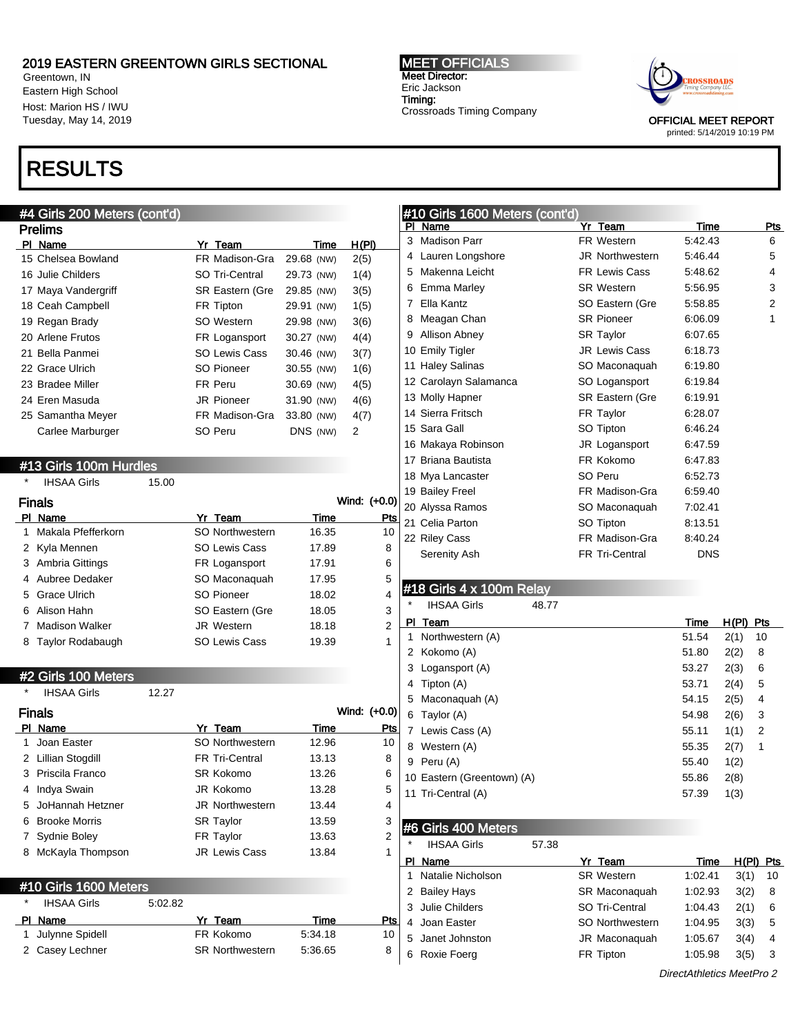Greentown, IN Eastern High School Host: Marion HS / IWU Tuesday, May 14, 2019

## RESULTS

## #4 Girls 200 Meters (cont'd)

| <b>Prelims</b>      |                        |            |       |
|---------------------|------------------------|------------|-------|
| PI Name             | Yr Team                | Time       | H(PI) |
| 15 Chelsea Bowland  | FR Madison-Gra         | 29.68 (NW) | 2(5)  |
| 16 Julie Childers   | SO Tri-Central         | 29.73 (NW) | 1(4)  |
| 17 Maya Vandergriff | <b>SR Eastern (Gre</b> | 29.85 (NW) | 3(5)  |
| 18 Ceah Campbell    | FR Tipton              | 29.91 (NW) | 1(5)  |
| 19 Regan Brady      | SO Western             | 29.98 (NW) | 3(6)  |
| 20 Arlene Frutos    | FR Logansport          | 30.27 (NW) | 4(4)  |
| 21 Bella Panmei     | <b>SO Lewis Cass</b>   | 30.46 (NW) | 3(7)  |
| 22 Grace Ulrich     | SO Pioneer             | 30.55 (NW) | 1(6)  |
| 23 Bradee Miller    | FR Peru                | 30.69 (NW) | 4(5)  |
| 24 Eren Masuda      | <b>JR Pioneer</b>      | 31.90 (NW) | 4(6)  |
| 25 Samantha Meyer   | FR Madison-Gra         | 33.80 (NW) | 4(7)  |
| Carlee Marburger    | SO Peru                | DNS (NW)   | 2     |
|                     |                        |            |       |

### #13 Girls 100m Hurdles

| $\star$ | <b>IHSAA Girls</b>    | 15.00 |                        |       |              |
|---------|-----------------------|-------|------------------------|-------|--------------|
|         | <b>Finals</b>         |       |                        |       | Wind: (+0.0) |
|         | PI Name               |       | Yr Team                | Time  | Pts          |
|         | Makala Pfefferkorn    |       | <b>SO Northwestern</b> | 16.35 | 10           |
|         | 2 Kyla Mennen         |       | <b>SO Lewis Cass</b>   | 17.89 | 8            |
|         | 3 Ambria Gittings     |       | FR Logansport          | 17.91 | 6            |
|         | 4 Aubree Dedaker      |       | SO Maconaquah          | 17.95 | 5            |
|         | 5 Grace Ulrich        |       | SO Pioneer             | 18.02 | 4            |
| 6       | Alison Hahn           |       | SO Eastern (Gre        | 18.05 | 3            |
|         | <b>Madison Walker</b> |       | <b>JR Western</b>      | 18.18 | 2            |
| 8       | Taylor Rodabaugh      |       | <b>SO Lewis Cass</b>   | 19.39 | 1            |

#### #2 Girls 100 Meters

| $\star$ | <b>IHSAA Girls</b>   | 12.27 |                        |       |              |
|---------|----------------------|-------|------------------------|-------|--------------|
|         | <b>Finals</b>        |       |                        |       | Wind: (+0.0) |
|         | PI Name              |       | Yr Team                | Time  | Pts          |
|         | Joan Easter          |       | SO Northwestern        | 12.96 | 10           |
|         | 2 Lillian Stogdill   |       | <b>FR Tri-Central</b>  | 13.13 | 8            |
|         | 3 Priscila Franco    |       | SR Kokomo              | 13.26 | 6            |
| 4       | Indya Swain          |       | JR Kokomo              | 13.28 | 5            |
|         | 5 JoHannah Hetzner   |       | <b>JR Northwestern</b> | 13.44 | 4            |
| 6       | <b>Brooke Morris</b> |       | <b>SR Taylor</b>       | 13.59 | 3            |
|         | Sydnie Boley         |       | FR Taylor              | 13.63 | 2            |
| 8       | McKayla Thompson     |       | <b>JR Lewis Cass</b>   | 13.84 | 1            |

#### #10 Girls 1600 Meters

| <b>IHSAA Girls</b> | 5:02.82                                         |                        |         |     |
|--------------------|-------------------------------------------------|------------------------|---------|-----|
|                    |                                                 | Yr Team                | Time    | Pts |
|                    |                                                 | FR Kokomo              | 5:34.18 | 10  |
|                    |                                                 | <b>SR Northwestern</b> | 5:36.65 |     |
|                    | PI Name<br>1 Julynne Spidell<br>2 Casey Lechner |                        |         |     |

#### MEET OFFICIALS Meet Director: Eric Jackson Timing: Crossroads Timing Company



OFFICIAL MEET REPORT printed: 5/14/2019 10:19 PM

### #10 Girls 1600 Meters (cont'd)

| PI | $1000$ motors (common<br>Name | Yr Team               | Time       | Pts |
|----|-------------------------------|-----------------------|------------|-----|
| 3  | <b>Madison Parr</b>           | FR Western            | 5:42.43    | 6   |
| 4  | Lauren Longshore              | JR Northwestern       | 5:46.44    | 5   |
| 5  | Makenna Leicht                | <b>FR Lewis Cass</b>  | 5:48.62    | 4   |
| 6  | <b>Emma Marley</b>            | <b>SR Western</b>     | 5:56.95    | 3   |
| 7  | Ella Kantz                    | SO Eastern (Gre       | 5:58.85    | 2   |
| 8  | Meagan Chan                   | <b>SR Pioneer</b>     | 6:06.09    | 1   |
| 9  | Allison Abney                 | <b>SR Taylor</b>      | 6:07.65    |     |
|    | 10 Emily Tigler               | <b>JR Lewis Cass</b>  | 6:18.73    |     |
|    | 11 Haley Salinas              | SO Maconaquah         | 6:19.80    |     |
|    | 12 Carolayn Salamanca         | SO Logansport         | 6:19.84    |     |
|    | 13 Molly Hapner               | SR Eastern (Gre       | 6:19.91    |     |
|    | 14 Sierra Fritsch             | FR Taylor             | 6:28.07    |     |
|    | 15 Sara Gall                  | SO Tipton             | 6:46.24    |     |
|    | 16 Makaya Robinson            | JR Logansport         | 6:47.59    |     |
|    | 17 Briana Bautista            | FR Kokomo             | 6:47.83    |     |
|    | 18 Mya Lancaster              | SO Peru               | 6.52.73    |     |
|    | 19 Bailey Freel               | FR Madison-Gra        | 6:59.40    |     |
|    | 20 Alyssa Ramos               | SO Maconaquah         | 7:02.41    |     |
|    | 21 Celia Parton               | SO Tipton             | 8:13.51    |     |
|    | 22 Riley Cass                 | FR Madison-Gra        | 8:40.24    |     |
|    | Serenity Ash                  | <b>FR Tri-Central</b> | <b>DNS</b> |     |

## #18 Girls 4 x 100m Relay

IHSAA Girls 48.77

|    | PI Team                    | Time  | H(PI) | Pts |
|----|----------------------------|-------|-------|-----|
|    |                            |       |       |     |
| 1. | Northwestern (A)           | 51.54 | 2(1)  | 10  |
|    | 2 Kokomo (A)               | 51.80 | 2(2)  | 8   |
| 3  | Logansport (A)             | 53.27 | 2(3)  | 6   |
| 4  | Tipton (A)                 | 53.71 | 2(4)  | 5   |
| 5  | Maconaquah (A)             | 54.15 | 2(5)  | 4   |
| 6  | Taylor (A)                 | 54.98 | 2(6)  | 3   |
| 7  | Lewis Cass (A)             | 55.11 | 1(1)  | 2   |
| 8  | Western (A)                | 55.35 | 2(7)  | 1   |
| 9  | Peru (A)                   | 55.40 | 1(2)  |     |
|    | 10 Eastern (Greentown) (A) | 55.86 | 2(8)  |     |
|    | 11 Tri-Central (A)         | 57.39 | 1(3)  |     |
|    |                            |       |       |     |

## #6 Girls 400 Meters

| $\star$ | <b>IHSAA Girls</b> | 57.38 |                   |         |       |     |
|---------|--------------------|-------|-------------------|---------|-------|-----|
|         | Name               |       | Yr Team           | Time    | H(PI) | Pts |
|         | Natalie Nicholson  |       | <b>SR Western</b> | 1:02.41 | 3(1)  | 10  |
| 2       | <b>Bailey Hays</b> |       | SR Maconaquah     | 1:02.93 | 3(2)  | 8   |
|         | Julie Childers     |       | SO Tri-Central    | 1:04.43 | 2(1)  | 6   |
|         | 4 Joan Easter      |       | SO Northwestern   | 1:04.95 | 3(3)  | 5   |
| 5       | Janet Johnston     |       | JR Maconaguah     | 1:05.67 | 3(4)  | 4   |
| 6       | Roxie Foerg        |       | FR Tipton         | 1:05.98 | 3(5)  | 3   |
|         |                    |       |                   |         |       |     |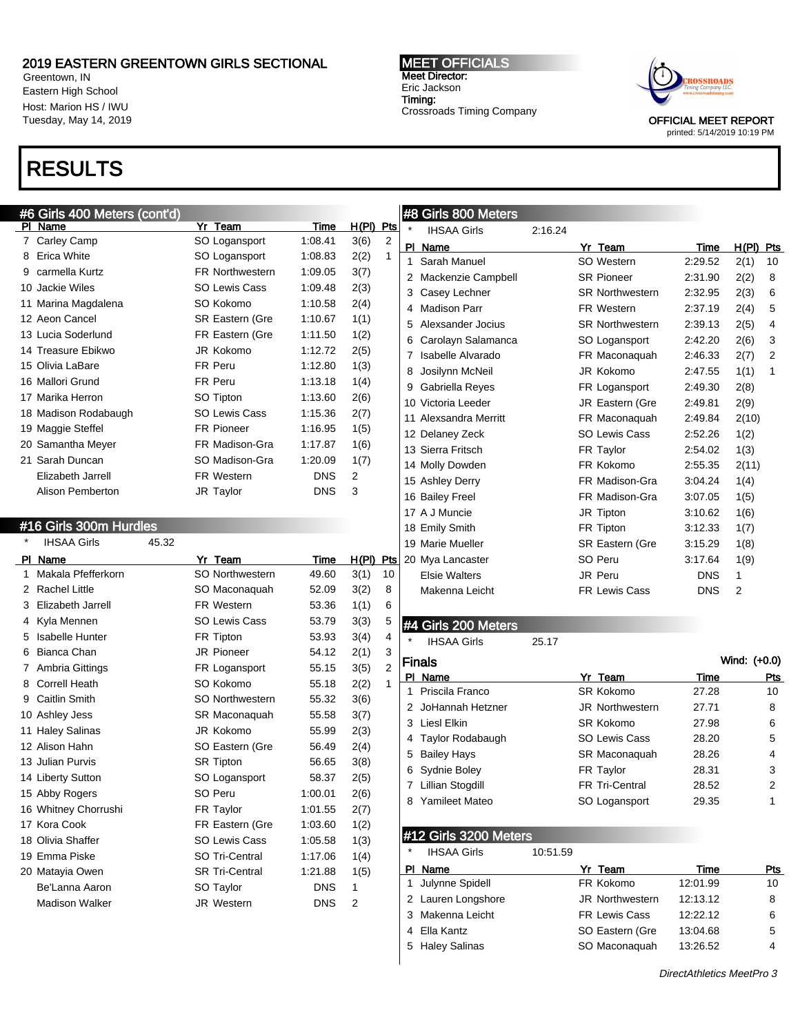Greentown, IN Eastern High School Host: Marion HS / IWU Tuesday, May 14, 2019

# RESULTS

## #6 Girls 400 Meters (cont'd)

| PI | Name                 | Yr Team                | Time       | H(PI)<br>Pts |  |
|----|----------------------|------------------------|------------|--------------|--|
| 7  | Carley Camp          | SO Logansport          | 1:08.41    | 3(6)<br>2    |  |
| 8  | Erica White          | SO Logansport          | 1:08.83    | 2(2)<br>1    |  |
| 9  | carmella Kurtz       | <b>FR Northwestern</b> | 1:09.05    | 3(7)         |  |
|    | 10 Jackie Wiles      | <b>SO Lewis Cass</b>   | 1:09.48    | 2(3)         |  |
|    | 11 Marina Magdalena  | SO Kokomo              | 1:10.58    | 2(4)         |  |
|    | 12 Aeon Cancel       | <b>SR Eastern (Gre</b> | 1:10.67    | 1(1)         |  |
|    | 13 Lucia Soderlund   | FR Eastern (Gre        | 1:11.50    | 1(2)         |  |
|    | 14 Treasure Ebikwo   | JR Kokomo              | 1:12.72    | 2(5)         |  |
|    | 15 Olivia LaBare     | FR Peru                | 1:12.80    | 1(3)         |  |
|    | 16 Mallori Grund     | FR Peru                | 1:13.18    | 1(4)         |  |
|    | 17 Marika Herron     | SO Tipton              | 1:13.60    | 2(6)         |  |
|    | 18 Madison Rodabaugh | <b>SO Lewis Cass</b>   | 1:15.36    | 2(7)         |  |
|    | 19 Maggie Steffel    | <b>FR Pioneer</b>      | 1:16.95    | 1(5)         |  |
|    | 20 Samantha Meyer    | FR Madison-Gra         | 1:17.87    | 1(6)         |  |
|    | 21 Sarah Duncan      | SO Madison-Gra         | 1:20.09    | 1(7)         |  |
|    | Elizabeth Jarrell    | FR Western             | <b>DNS</b> | 2            |  |
|    | Alison Pemberton     | JR Taylor              | <b>DNS</b> | 3            |  |

### #16 Girls 300m Hurdles

| *  | <b>IHSAA Girls</b>     | 45.32 |                        |            |              |
|----|------------------------|-------|------------------------|------------|--------------|
| PI | Name                   |       | Yr Team                | Time       | H(PI)<br>Pts |
| 1  | Makala Pfefferkorn     |       | <b>SO Northwestern</b> | 49.60      | 3(1)<br>10   |
| 2  | Rachel Little          |       | SO Maconaquah          | 52.09      | 3(2)<br>8    |
| 3  | Elizabeth Jarrell      |       | FR Western             | 53.36      | 1(1)<br>6    |
| 4  | Kyla Mennen            |       | SO Lewis Cass          | 53.79      | 3(3)<br>5    |
| 5  | <b>Isabelle Hunter</b> |       | FR Tipton              | 53.93      | 3(4)<br>4    |
| 6  | Bianca Chan            |       | <b>JR Pioneer</b>      | 54.12      | 2(1)<br>3    |
| 7  | Ambria Gittings        |       | FR Logansport          | 55.15      | 3(5)<br>2    |
| 8  | <b>Correll Heath</b>   |       | SO Kokomo              | 55.18      | 2(2)<br>1    |
| 9  | <b>Caitlin Smith</b>   |       | <b>SO Northwestern</b> | 55.32      | 3(6)         |
|    | 10 Ashley Jess         |       | SR Maconaquah          | 55.58      | 3(7)         |
|    | 11 Haley Salinas       |       | JR Kokomo              | 55.99      | 2(3)         |
|    | 12 Alison Hahn         |       | SO Eastern (Gre        | 56.49      | 2(4)         |
|    | 13 Julian Purvis       |       | <b>SR Tipton</b>       | 56.65      | 3(8)         |
|    | 14 Liberty Sutton      |       | SO Logansport          | 58.37      | 2(5)         |
|    | 15 Abby Rogers         |       | SO Peru                | 1:00.01    | 2(6)         |
|    | 16 Whitney Chorrushi   |       | FR Taylor              | 1:01.55    | 2(7)         |
|    | 17 Kora Cook           |       | FR Eastern (Gre        | 1:03.60    | 1(2)         |
|    | 18 Olivia Shaffer      |       | <b>SO Lewis Cass</b>   | 1:05.58    | 1(3)         |
|    | 19 Emma Piske          |       | <b>SO Tri-Central</b>  | 1:17.06    | 1(4)         |
|    | 20 Matayia Owen        |       | <b>SR Tri-Central</b>  | 1:21.88    | 1(5)         |
|    | Be'Lanna Aaron         |       | SO Taylor              | <b>DNS</b> | 1            |
|    | <b>Madison Walker</b>  |       | <b>JR Western</b>      | <b>DNS</b> | 2            |
|    |                        |       |                        |            |              |

#### MEET OFFICIALS Meet Director: Eric Jackson Timing: Crossroads Timing Company



OFFICIAL MEET REPORT printed: 5/14/2019 10:19 PM

#### #8 Girls 800 Meters

| $\star$ | <b>IHSAA Girls</b>   | 2:16.24 |                        |            |       |     |
|---------|----------------------|---------|------------------------|------------|-------|-----|
| ΡI      | Name                 |         | Yr Team                | Time       | H(PI) | Pts |
| 1       | Sarah Manuel         |         | SO Western             | 2:29.52    | 2(1)  | 10  |
| 2       | Mackenzie Campbell   |         | <b>SR Pioneer</b>      | 2:31.90    | 2(2)  | 8   |
| 3       | Casey Lechner        |         | <b>SR Northwestern</b> | 2:32.95    | 2(3)  | 6   |
| 4       | <b>Madison Parr</b>  |         | FR Western             | 2:37.19    | 2(4)  | 5   |
| 5       | Alexsander Jocius    |         | <b>SR Northwestern</b> | 2:39.13    | 2(5)  | 4   |
| 6       | Carolayn Salamanca   |         | SO Logansport          | 2:42.20    | 2(6)  | 3   |
| 7       | Isabelle Alvarado    |         | FR Maconaquah          | 2:46.33    | 2(7)  | 2   |
| 8       | Josilynn McNeil      |         | JR Kokomo              | 2:47.55    | 1(1)  | 1   |
| 9       | Gabriella Reyes      |         | FR Logansport          | 2:49.30    | 2(8)  |     |
|         | 10 Victoria Leeder   |         | JR Eastern (Gre        | 2:49.81    | 2(9)  |     |
| 11      | Alexsandra Merritt   |         | FR Maconaguah          | 2:49.84    | 2(10) |     |
|         | 12 Delaney Zeck      |         | SO Lewis Cass          | 2:52.26    | 1(2)  |     |
|         | 13 Sierra Fritsch    |         | FR Taylor              | 2:54.02    | 1(3)  |     |
|         | 14 Molly Dowden      |         | FR Kokomo              | 2:55.35    | 2(11) |     |
|         | 15 Ashley Derry      |         | FR Madison-Gra         | 3:04.24    | 1(4)  |     |
|         | 16 Bailey Freel      |         | FR Madison-Gra         | 3:07.05    | 1(5)  |     |
|         | 17 A J Muncie        |         | JR Tipton              | 3:10.62    | 1(6)  |     |
|         | 18 Emily Smith       |         | FR Tipton              | 3:12.33    | 1(7)  |     |
|         | 19 Marie Mueller     |         | <b>SR Eastern (Gre</b> | 3:15.29    | 1(8)  |     |
|         | 20 Mya Lancaster     |         | SO Peru                | 3:17.64    | 1(9)  |     |
|         | <b>Elsie Walters</b> |         | JR Peru                | <b>DNS</b> | 1     |     |
|         | Makenna Leicht       |         | <b>FR Lewis Cass</b>   | <b>DNS</b> | 2     |     |
|         |                      |         |                        |            |       |     |

## #4 Girls 200 Meters

IHSAA Girls 25.17

|   | Finals             |                        |       | Wind: (+0.0) |
|---|--------------------|------------------------|-------|--------------|
|   | PI Name            | Yr Team                | Time  | Pts          |
|   | Priscila Franco    | <b>SR Kokomo</b>       | 27.28 | 10           |
|   | JoHannah Hetzner   | <b>JR Northwestern</b> | 27.71 | 8            |
| 3 | Liesl Elkin        | SR Kokomo              | 27.98 | 6            |
|   | Taylor Rodabaugh   | <b>SO Lewis Cass</b>   | 28.20 | 5            |
| 5 | <b>Bailey Hays</b> | SR Maconaguah          | 28.26 | 4            |
| 6 | Sydnie Boley       | FR Taylor              | 28.31 | 3            |
|   | Lillian Stogdill   | <b>FR Tri-Central</b>  | 28.52 | 2            |
| 8 | Yamileet Mateo     | SO Logansport          | 29.35 | 1            |

## #12 Girls 3200 Meters

| $\star$ | <b>IHSAA Girls</b> | 10:51.59               |          |     |
|---------|--------------------|------------------------|----------|-----|
|         | PI Name            | Yr Team                | Time     | Pts |
|         | 1 Julynne Spidell  | FR Kokomo              | 12:01.99 | 10  |
|         | 2 Lauren Longshore | <b>JR Northwestern</b> | 12:13.12 | 8   |
|         | 3 Makenna Leicht   | <b>FR Lewis Cass</b>   | 12:22.12 | 6   |
|         | 4 Ella Kantz       | SO Eastern (Gre        | 13:04.68 | 5   |
|         | 5 Haley Salinas    | SO Maconaguah          | 13:26.52 | 4   |
|         |                    |                        |          |     |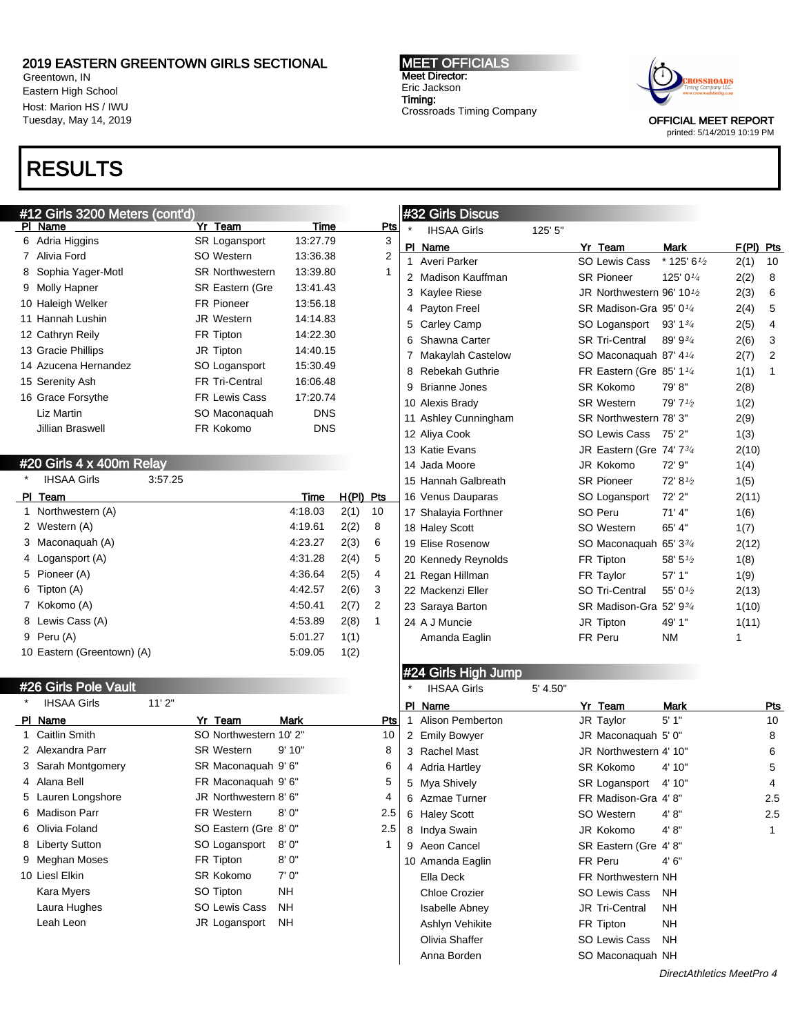Greentown, IN Eastern High School Host: Marion HS / IWU Tuesday, May 14, 2019

# RESULTS

MEET OFFICIALS Meet Director: Eric Jackson Timing: Crossroads Timing Company



OFFICIAL MEET REPORT printed: 5/14/2019 10:19 PM

| #12 Girls 3200 Meters (cont'd) |                            |               |             |              | #32 Girls Discus        |          |                           |                                   |           |              |
|--------------------------------|----------------------------|---------------|-------------|--------------|-------------------------|----------|---------------------------|-----------------------------------|-----------|--------------|
| PI Name                        | Yr Team                    | <b>Time</b>   |             | <u>Pts</u>   | <b>IHSAA Girls</b>      | 125' 5"  |                           |                                   |           |              |
| 6 Adria Higgins                | SR Logansport              | 13:27.79      |             | 3            | PI Name                 |          | Yr Team                   | Mark                              | F(PI) Pts |              |
| 7 Alivia Ford                  | SO Western                 | 13:36.38      |             | 2            | 1 Averi Parker          |          | SO Lewis Cass             | $*$ 125' 6 $1/2$                  | 2(1)      | 10           |
| 8 Sophia Yager-Motl            | <b>SR Northwestern</b>     | 13:39.80      |             | 1            | 2 Madison Kauffman      |          | <b>SR Pioneer</b>         | 125' 01/4                         | 2(2)      | 8            |
| 9 Molly Hapner                 | <b>SR Eastern (Gre</b>     | 13:41.43      |             |              | 3 Kaylee Riese          |          | JR Northwestern 96' 101/2 |                                   | 2(3)      | 6            |
| 10 Haleigh Welker              | <b>FR Pioneer</b>          | 13:56.18      |             |              | 4 Payton Freel          |          | SR Madison-Gra 95' 01/4   |                                   | 2(4)      | 5            |
| 11 Hannah Lushin               | <b>JR Western</b>          | 14:14.83      |             |              | 5 Carley Camp           |          | SO Logansport             | 93' 1 <sup>3</sup> / <sub>4</sub> | 2(5)      | 4            |
| 12 Cathryn Reily               | FR Tipton                  | 14:22.30      |             |              | 6 Shawna Carter         |          | <b>SR Tri-Central</b>     | 89' 93/4                          | 2(6)      | 3            |
| 13 Gracie Phillips             | JR Tipton                  | 14:40.15      |             |              | 7 Makaylah Castelow     |          | SO Maconaquah 87' 41/4    |                                   | 2(7)      | 2            |
| 14 Azucena Hernandez           | SO Logansport              | 15:30.49      |             |              | 8 Rebekah Guthrie       |          | FR Eastern (Gre 85' 11/4  |                                   | 1(1)      | 1            |
| 15 Serenity Ash                | FR Tri-Central             | 16:06.48      |             |              | 9 Brianne Jones         |          | SR Kokomo                 | 79'8"                             | 2(8)      |              |
| 16 Grace Forsythe              | <b>FR Lewis Cass</b>       | 17:20.74      |             |              | 10 Alexis Brady         |          | <b>SR Western</b>         | 79' 71/2                          | 1(2)      |              |
| Liz Martin                     | SO Maconaquah              | <b>DNS</b>    |             |              | 11 Ashley Cunningham    |          | SR Northwestern 78' 3"    |                                   | 2(9)      |              |
| Jillian Braswell               | FR Kokomo                  | <b>DNS</b>    |             |              | 12 Aliya Cook           |          | SO Lewis Cass 75' 2"      |                                   | 1(3)      |              |
|                                |                            |               |             |              | 13 Katie Evans          |          | JR Eastern (Gre 74' 73/4  |                                   | 2(10)     |              |
| #20 Girls 4 x 400m Relay       |                            |               |             |              | 14 Jada Moore           |          | JR Kokomo                 | 72' 9"                            | 1(4)      |              |
| <b>IHSAA Girls</b><br>3:57.25  |                            |               |             |              | 15 Hannah Galbreath     |          | <b>SR Pioneer</b>         | 72' 81/2                          | 1(5)      |              |
| PI Team                        |                            | Time          | $H(PI)$ Pts |              | 16 Venus Dauparas       |          | SO Logansport             | 72' 2"                            | 2(11)     |              |
| 1 Northwestern (A)             |                            | 4:18.03       | 2(1)        | 10           | 17 Shalayia Forthner    |          | SO Peru                   | $71'$ 4"                          | 1(6)      |              |
| 2 Western (A)                  |                            | 4:19.61       | 2(2)        | 8            | 18 Haley Scott          |          | SO Western                | 65' 4"                            | 1(7)      |              |
| 3 Maconaquah (A)               |                            | 4:23.27       | 2(3)        | 6            | 19 Elise Rosenow        |          | SO Maconaquah 65' 33/4    |                                   | 2(12)     |              |
| 4 Logansport (A)               |                            | 4:31.28       | 2(4)        | 5            | 20 Kennedy Reynolds     |          | FR Tipton                 | 58' 51/2                          | 1(8)      |              |
| 5 Pioneer (A)                  |                            | 4:36.64       | 2(5)        | 4            | 21 Regan Hillman        |          | FR Taylor                 | 57' 1"                            | 1(9)      |              |
| 6 Tipton (A)                   |                            | 4:42.57       | 2(6)        | 3            | 22 Mackenzi Eller       |          | SO Tri-Central            | 55' 01/2                          | 2(13)     |              |
| 7 Kokomo (A)                   |                            | 4.50.41       | 2(7)        | 2            | 23 Saraya Barton        |          | SR Madison-Gra 52' 93/4   |                                   | 1(10)     |              |
| 8 Lewis Cass (A)               |                            | 4:53.89       | 2(8)        | $\mathbf{1}$ | 24 A J Muncie           |          | JR Tipton                 | 49' 1"                            | 1(11)     |              |
| 9 Peru (A)                     |                            | 5:01.27       | 1(1)        |              | Amanda Eaglin           |          | FR Peru                   | <b>NM</b>                         | 1         |              |
| 10 Eastern (Greentown) (A)     |                            | 5:09.05       | 1(2)        |              |                         |          |                           |                                   |           |              |
|                                |                            |               |             |              | #24 Girls High Jump     |          |                           |                                   |           |              |
| #26 Girls Pole Vault           |                            |               |             |              | <b>IHSAA Girls</b>      | 5' 4.50" |                           |                                   |           |              |
| 11'2"<br><b>IHSAA Girls</b>    |                            |               |             |              | PI Name                 |          |                           |                                   |           |              |
| PI Name                        | Yr Team                    | <b>Mark</b>   |             | Pts          | <b>Alison Pemberton</b> |          | Yr Team<br>JR Taylor      | Mark<br>5'1''                     |           | Pts<br>10    |
| 1 Caitlin Smith                | SO Northwestern 10' 2"     |               |             | 10           | 2 Emily Bowyer          |          | JR Maconaquah 5' 0"       |                                   |           | 8            |
| 2 Alexandra Parr               | <b>SR Western</b>          | 9'10"         |             | 8            | 3 Rachel Mast           |          | JR Northwestern 4' 10"    |                                   |           | 6            |
| 3 Sarah Montgomery             | SR Maconaquah 9'6"         |               |             | 6            | 4 Adria Hartley         |          | <b>SR Kokomo</b>          | 4' 10"                            |           | 5            |
| 4 Alana Bell                   | FR Maconaquah 9'6"         |               |             | 5            | 5 Mya Shively           |          | SR Logansport             | 4' 10"                            |           | 4            |
| 5 Lauren Longshore             | JR Northwestern 8' 6"      |               |             | 4            | 6 Azmae Turner          |          | FR Madison-Gra 4'8"       |                                   |           | 2.5          |
| 6 Madison Parr                 | FR Western                 | 8' 0"         |             | 2.5          | 6 Haley Scott           |          | SO Western                |                                   |           |              |
| 6 Olivia Foland                | SO Eastern (Gre 8' 0"      |               |             | 2.5          |                         |          |                           | 4' 8"                             |           | 2.5          |
|                                |                            |               |             | 1            | 8 Indya Swain           |          | JR Kokomo                 | 4' 8''                            |           | $\mathbf{1}$ |
| 8 Liberty Sutton               | SO Logansport<br>FR Tipton | 8'0"<br>8'0'' |             |              | 9 Aeon Cancel           |          | SR Eastern (Gre 4'8"      |                                   |           |              |
| 9 Meghan Moses                 |                            |               |             |              | 10 Amanda Eaglin        |          | FR Peru                   | 4'6''                             |           |              |
| 10 Liesl Elkin                 | SR Kokomo                  | 7' 0"         |             |              | Ella Deck               |          | FR Northwestern NH        |                                   |           |              |
| Kara Myers                     | SO Tipton                  | <b>NH</b>     |             |              | <b>Chloe Crozier</b>    |          | SO Lewis Cass             | ΝH                                |           |              |
| Laura Hughes                   | SO Lewis Cass              | ΝH            |             |              | <b>Isabelle Abney</b>   |          | JR Tri-Central            | <b>NH</b>                         |           |              |
| Leah Leon                      | JR Logansport              | ΝH            |             |              | Ashlyn Vehikite         |          | FR Tipton                 | <b>NH</b>                         |           |              |
|                                |                            |               |             |              | Olivia Shaffer          |          | SO Lewis Cass             | <b>NH</b>                         |           |              |
|                                |                            |               |             |              | Anna Borden             |          | SO Maconaquah NH          |                                   |           |              |